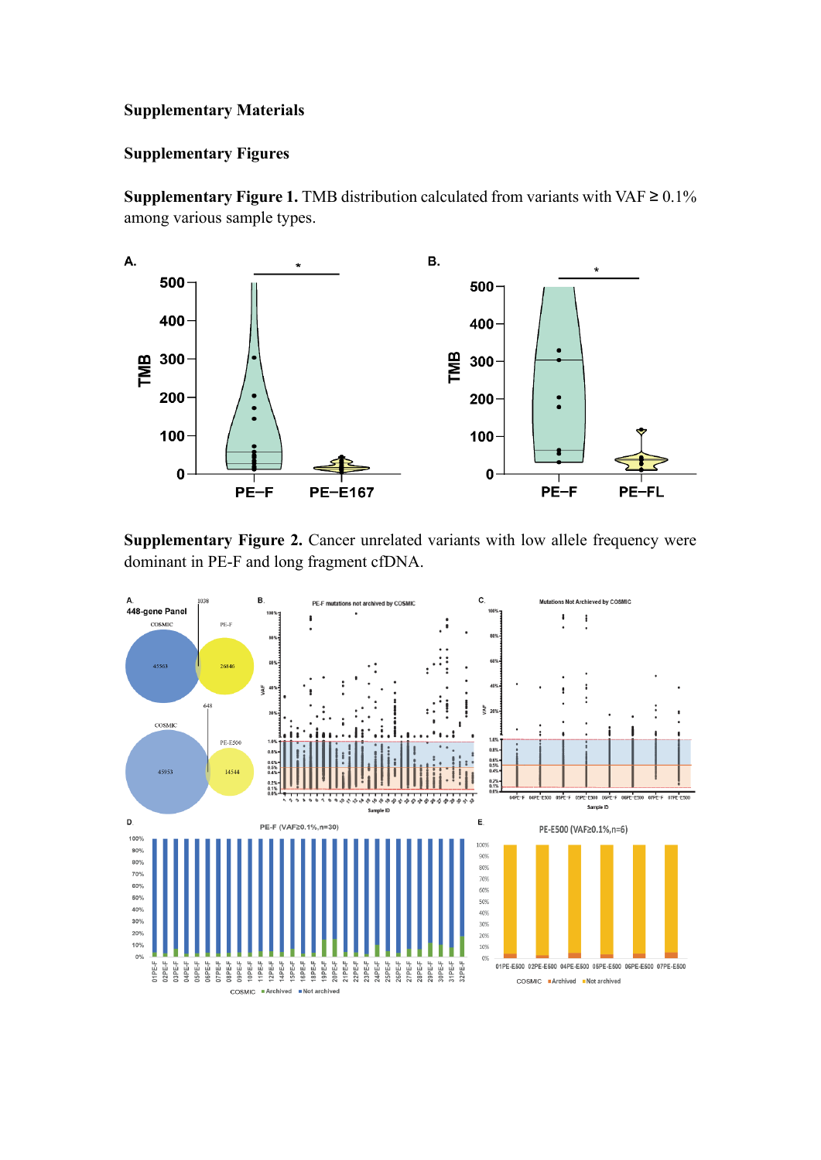## **Supplementary Materials**

## **Supplementary Figures**

**Supplementary Figure 1.** TMB distribution calculated from variants with VAF  $\geq 0.1\%$ among various sample types.



**Supplementary Figure 2.** Cancer unrelated variants with low allele frequency were dominant in PE-F and long fragment cfDNA.

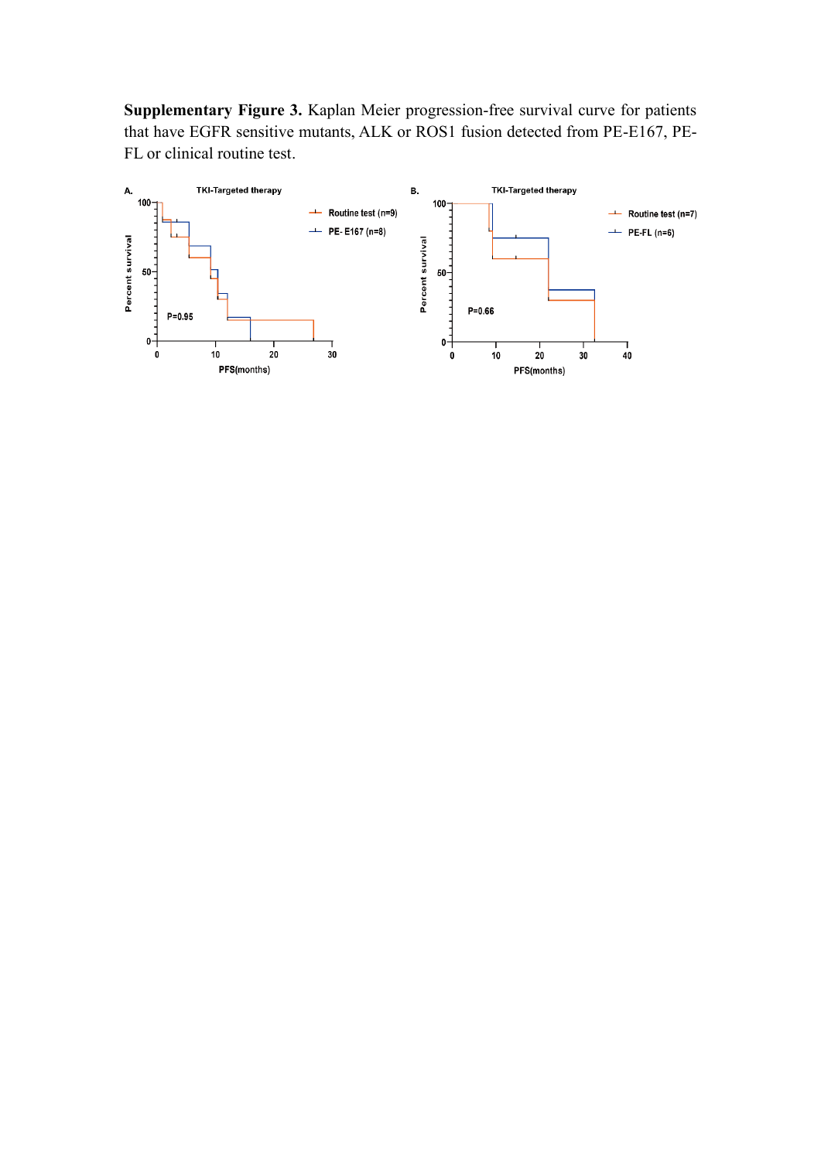**Supplementary Figure 3.** Kaplan Meier progression-free survival curve for patients that have EGFR sensitive mutants, ALK or ROS1 fusion detected from PE-E167, PE-FL or clinical routine test.

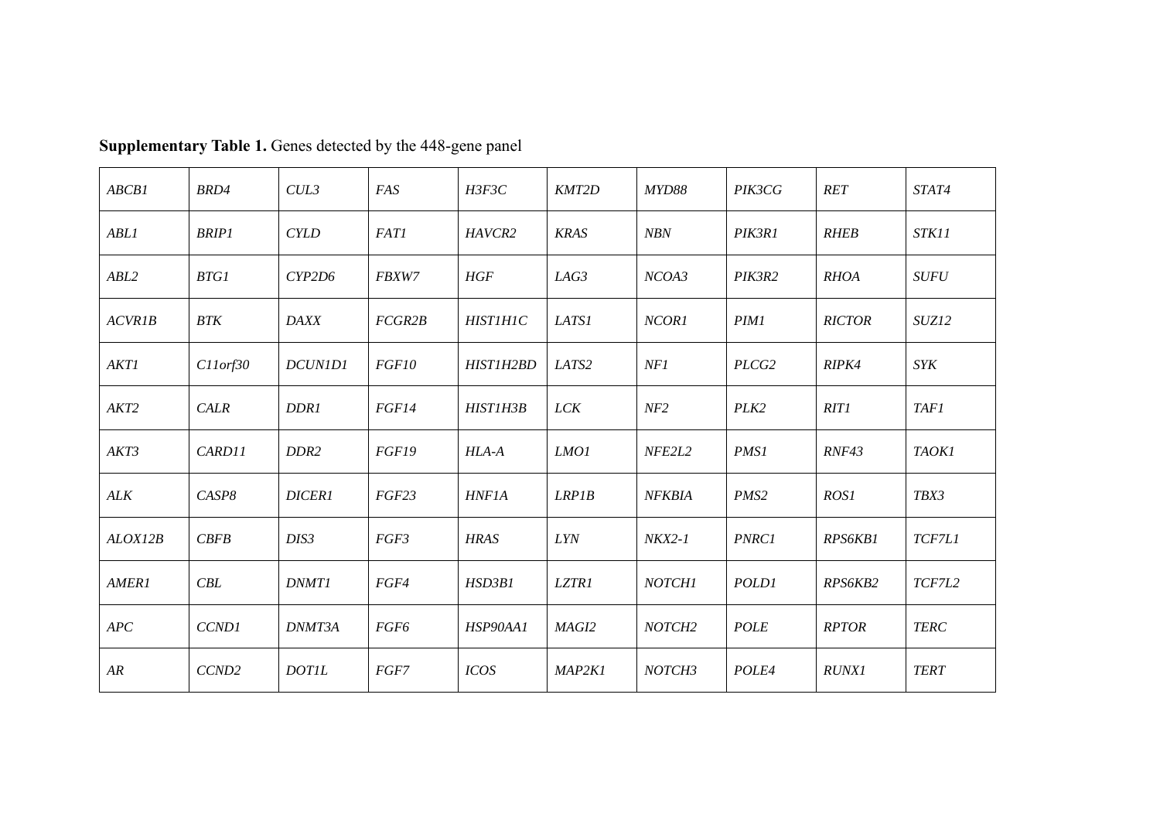| ABCB1            | BRD4              | CUL3             | FAS         | H3F3C              | KMT2D       | <i>MYD88</i>       | PIK3CG           | <b>RET</b>     | STAT4        |
|------------------|-------------------|------------------|-------------|--------------------|-------------|--------------------|------------------|----------------|--------------|
| <b>ABLI</b>      | <b>BRIP1</b>      | <b>CYLD</b>      | <b>FAT1</b> | HAVCR <sub>2</sub> | <b>KRAS</b> | <b>NBN</b>         | PIK3R1           | <b>RHEB</b>    | STK11        |
| ABL2             | <b>BTG1</b>       | CYP2D6           | FBXW7       | HGF                | LAG3        | NCOA3              | PIK3R2           | <b>RHOA</b>    | <b>SUFU</b>  |
| <b>ACVR1B</b>    | <b>BTK</b>        | <b>DAXX</b>      | FCGR2B      | <b>HISTIHIC</b>    | LATS1       | NCOR1              | <b>PIM1</b>      | <b>RICTOR</b>  | SUZ12        |
| <b>AKT1</b>      | $C11$ orf $30$    | DCUN1D1          | FGF10       | HIST1H2BD          | LATS2       | NF1                | PLCG2            | RIPK4          | <b>SYK</b>   |
| AKT <sub>2</sub> | <b>CALR</b>       | D <sub>DR1</sub> | FGF14       | HIST1H3B           | <i>LCK</i>  | NF2                | PLK <sub>2</sub> | <b>RIT1</b>    | <b>TAF1</b>  |
| AKT3             | CARD11            | DDR <sub>2</sub> | FGF19       | HLA-A              | LMO1        | NFE2L2             | <b>PMS1</b>      | RNF43          | <b>TAOKI</b> |
| ALK              | CASP8             | <b>DICER1</b>    | FGF23       | <b>HNF1A</b>       | LRPIB       | <b>NFKBIA</b>      | PMS <sub>2</sub> | ROS1           | TBX3         |
| ALOX12B          | CBFB              | DIS <sub>3</sub> | FGF3        | <b>HRAS</b>        | <b>LYN</b>  | $NKX2-1$           | <b>PNRC1</b>     | <b>RPS6KB1</b> | TCF7L1       |
| <b>AMER1</b>     | CBL               | <b>DNMT1</b>     | FGF4        | HSD3B1             | LZTR1       | <b>NOTCH1</b>      | <b>POLD1</b>     | RPS6KB2        | TCF7L2       |
| APC              | CCND1             | DNMT3A           | FGF6        | HSP90AA1           | MAGI2       | NOTCH <sub>2</sub> | <b>POLE</b>      | <b>RPTOR</b>   | <b>TERC</b>  |
| AR               | CCND <sub>2</sub> | <b>DOTIL</b>     | FGF7        | <b>ICOS</b>        | MAP2K1      | NOTCH3             | POLE4            | <b>RUNX1</b>   | <b>TERT</b>  |

**Supplementary Table 1.** Genes detected by the 448-gene panel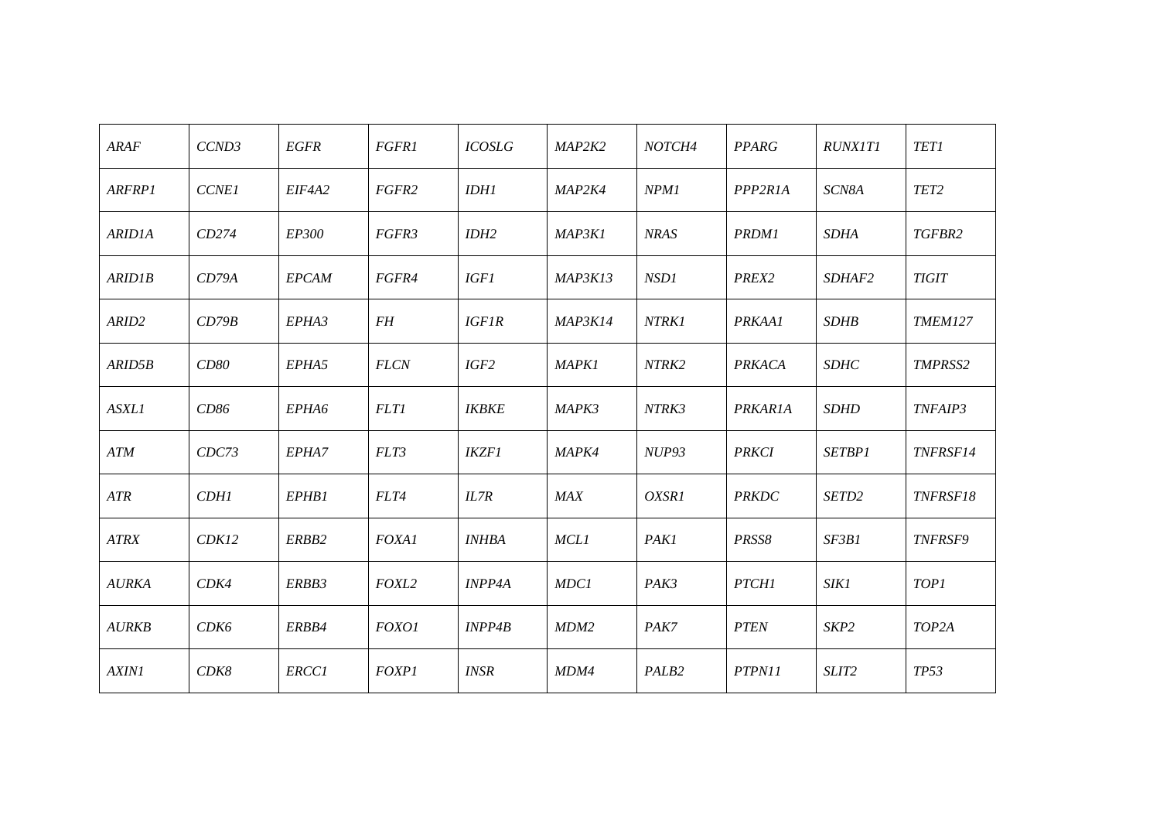| ARAF          | CCND3        | <b>EGFR</b>  | <b>FGFR1</b> | <b>ICOSLG</b> | MAP2K2         | NOTCH4            | <b>PPARG</b>      | <i>RUNX1T1</i>    | <b>TET1</b>      |
|---------------|--------------|--------------|--------------|---------------|----------------|-------------------|-------------------|-------------------|------------------|
| <b>ARFRP1</b> | <b>CCNE1</b> | EIF4A2       | FGFR2        | <b>IDH1</b>   | MAP2K4         | NPM1              | PPP2R1A           | SCN8A             | TET <sub>2</sub> |
| <b>ARID1A</b> | CD274        | <i>EP300</i> | FGFR3        | IDH2          | MAP3K1         | <b>NRAS</b>       | <b>PRDM1</b>      | <b>SDHA</b>       | TGFBR2           |
| <b>ARID1B</b> | CD79A        | <b>EPCAM</b> | FGFR4        | <b>IGF1</b>   | MAP3K13        | NSD1              | PREX <sub>2</sub> | <i>SDHAF2</i>     | <b>TIGIT</b>     |
| ARID2         | CD79B        | EPHA3        | FH           | <b>IGF1R</b>  | <b>MAP3K14</b> | NTRK1             | PRKAA1            | <b>SDHB</b>       | <b>TMEM127</b>   |
| ARID5B        | CD80         | EPHA5        | <b>FLCN</b>  | IGF2          | <b>MAPK1</b>   | NTRK2             | PRKACA            | <b>SDHC</b>       | <b>TMPRSS2</b>   |
| <b>ASXL1</b>  | CD86         | EPHA6        | <b>FLT1</b>  | <b>IKBKE</b>  | MAPK3          | NTRK3             | <b>PRKARIA</b>    | <b>SDHD</b>       | <b>TNFAIP3</b>   |
| ATM           | CDC73        | EPHA7        | FLT3         | <b>IKZF1</b>  | <b>MAPK4</b>   | <b>NUP93</b>      | <b>PRKCI</b>      | <b>SETBP1</b>     | TNFRSF14         |
| ATR           | <b>CDH1</b>  | EPHB1        | FLT4         | IL7R          | MAX            | OXSR1             | <b>PRKDC</b>      | SETD <sub>2</sub> | <b>TNFRSF18</b>  |
| <b>ATRX</b>   | CDK12        | ERBB2        | <b>FOXA1</b> | <b>INHBA</b>  | <b>MCL1</b>    | <b>PAK1</b>       | PRSS8             | SF3B1             | <b>TNFRSF9</b>   |
| <b>AURKA</b>  | CDK4         | ERBB3        | FOXL2        | <b>INPP4A</b> | MDC1           | PAK3              | <b>PTCH1</b>      | <i>SIK1</i>       | <b>TOP1</b>      |
| AURKB         | CDK6         | ERBB4        | FOXO1        | INPP4B        | MDM2           | PAK7              | <b>PTEN</b>       | SKP2              | TOP2A            |
| <b>AXIN1</b>  | CDK8         | <b>ERCC1</b> | <b>FOXP1</b> | <b>INSR</b>   | MDM4           | PALB <sub>2</sub> | PTPN11            | SLIT2             | <b>TP53</b>      |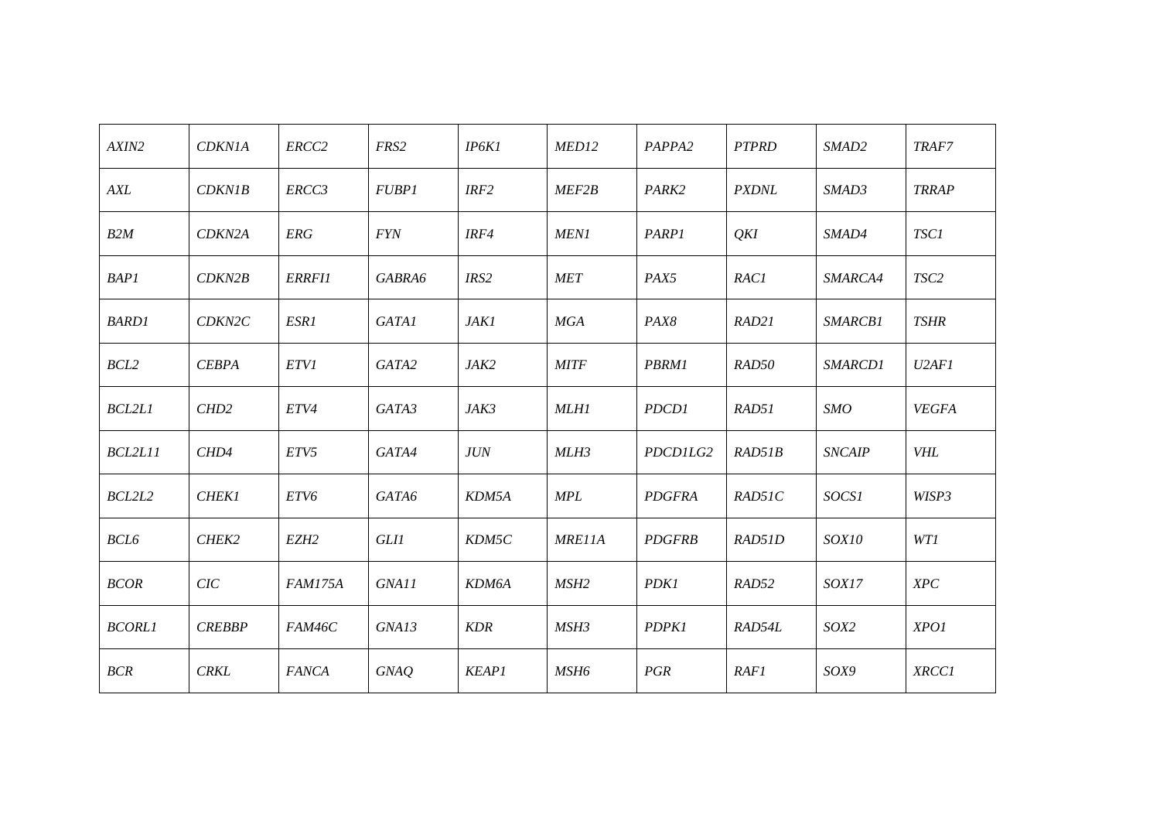| AXIN2         | <b>CDKN1A</b>    | ERCC2            | FRS2         | IP6K1        | MED12            | PAPPA2        | <b>PTPRD</b> | SMAD2          | TRAF7            |
|---------------|------------------|------------------|--------------|--------------|------------------|---------------|--------------|----------------|------------------|
| AXL           | <b>CDKN1B</b>    | ERCC3            | <b>FUBP1</b> | IRF2         | MEF2B            | PARK2         | <b>PXDNL</b> | SMAD3          | <b>TRRAP</b>     |
| B2M           | CDKN2A           | <b>ERG</b>       | <b>FYN</b>   | IRF4         | <b>MEN1</b>      | <b>PARP1</b>  | QKI          | <i>SMAD4</i>   | <b>TSC1</b>      |
| <b>BAP1</b>   | CDKN2B           | <b>ERRFII</b>    | GABRA6       | IRS2         | <b>MET</b>       | PAX5          | <b>RAC1</b>  | <i>SMARCA4</i> | TSC <sub>2</sub> |
| <b>BARD1</b>  | CDKN2C           | ESR1             | GATA1        | <b>JAK1</b>  | MGA              | PAX8          | RAD21        | SMARCB1        | <b>TSHR</b>      |
| BCL2          | <b>CEBPA</b>     | <b>ETV1</b>      | GATA2        | JAK2         | <b>MITF</b>      | <b>PBRM1</b>  | RAD50        | SMARCD1        | U2AF1            |
| <b>BCL2L1</b> | CHD <sub>2</sub> | ETV4             | GATA3        | JAK3         | <b>MLH1</b>      | PDCD1         | RAD51        | SMO            | <b>VEGFA</b>     |
| BCL2L11       | CHD4             | ETV5             | GATA4        | <b>JUN</b>   | MLH3             | PDCD1LG2      | RAD51B       | <b>SNCAIP</b>  | <b>VHL</b>       |
| BCL2L2        | <b>CHEK1</b>     | ETV6             | GATA6        | KDM5A        | <b>MPL</b>       | PDGFRA        | RAD51C       | SOCS1          | WISP3            |
| <b>BCL6</b>   | CHEK2            | EZH <sub>2</sub> | <b>GLI1</b>  | KDM5C        | <b>MRE11A</b>    | <b>PDGFRB</b> | RAD51D       | SOX10          | WT1              |
| <b>BCOR</b>   | CIC              | <b>FAM175A</b>   | GNA11        | KDM6A        | MSH <sub>2</sub> | <b>PDK1</b>   | RAD52        | SOX17          | XPC              |
| <b>BCORL1</b> | <b>CREBBP</b>    | FAM46C           | GNA13        | KDR          | MSH3             | PDPK1         | RAD54L       | SOX2           | XPO1             |
| BCR           | <b>CRKL</b>      | <b>FANCA</b>     | <b>GNAQ</b>  | <b>KEAP1</b> | MSH <sub>6</sub> | PGR           | <b>RAF1</b>  | SOX9           | <b>XRCC1</b>     |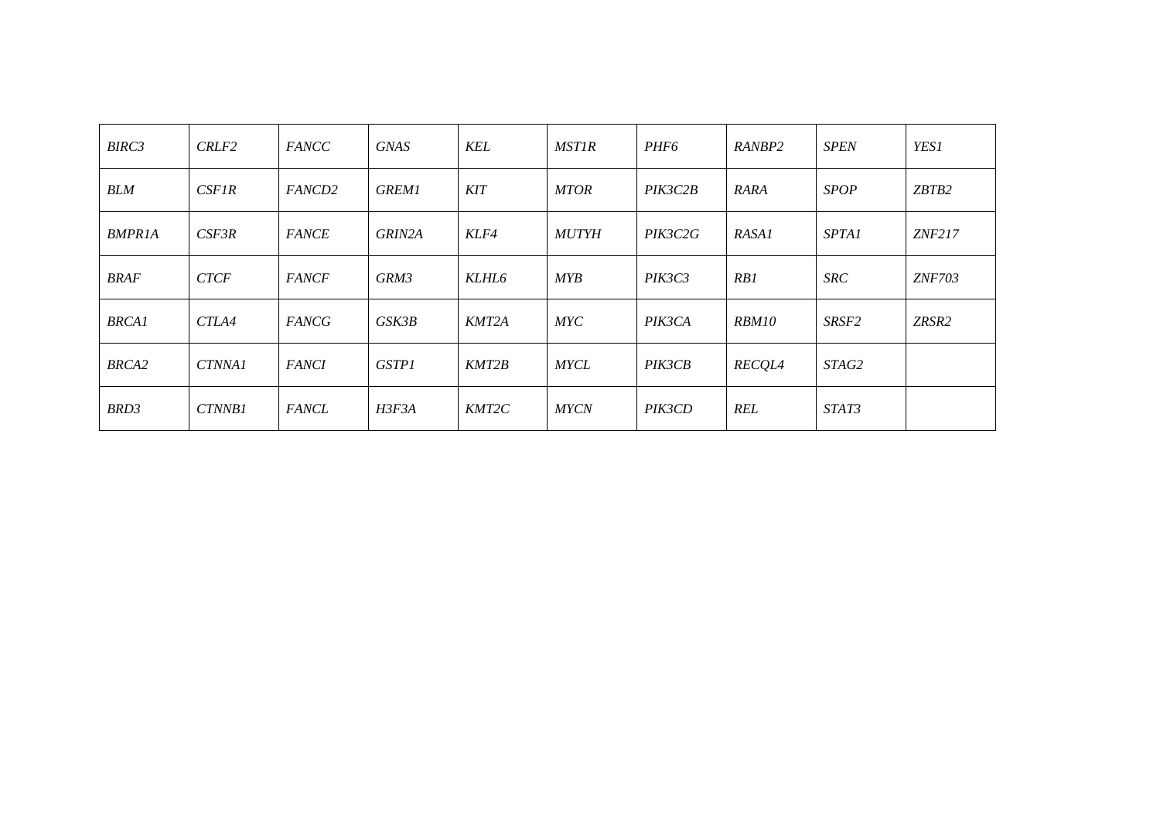| BIRC3         | CRLF <sub>2</sub> | <b>FANCC</b>  | <b>GNAS</b>  | KEL        | <b>MST1R</b> | PHF <sub>6</sub> | <i>RANBP2</i> | <b>SPEN</b>       | <b>YES1</b>   |
|---------------|-------------------|---------------|--------------|------------|--------------|------------------|---------------|-------------------|---------------|
| <b>BLM</b>    | CSEIR             | <i>FANCD2</i> | <b>GREM1</b> | <b>KIT</b> | <b>MTOR</b>  | PIK3C2B          | RARA          | <b>SPOP</b>       | ZBTB2         |
| <b>BMPR1A</b> | CSF3R             | <b>FANCE</b>  | GRIN2A       | KLF4       | <b>MUTYH</b> | PIK3C2G          | RASA1         | <i>SPTA1</i>      | ZNF217        |
| <b>BRAF</b>   | <b>CTCF</b>       | <i>FANCF</i>  | GRM3         | KLHL6      | MYB          | PIK3C3           | RB1           | <b>SRC</b>        | <i>ZNF703</i> |
| <b>BRCA1</b>  | CTLA4             | <b>FANCG</b>  | GSK3B        | KMT2A      | MYC          | PIK3CA           | <i>RBM10</i>  | SRSF <sub>2</sub> | ZRSR2         |
| BRCA2         | CTNNA1            | <b>FANCI</b>  | <b>GSTP1</b> | KMT2B      | <b>MYCL</b>  | PIK3CB           | <b>RECQL4</b> | STAG2             |               |
| BRD3          | CTNNB1            | <b>FANCL</b>  | H3F3A        | KMT2C      | <b>MYCN</b>  | PIK3CD           | <b>REL</b>    | STAT3             |               |